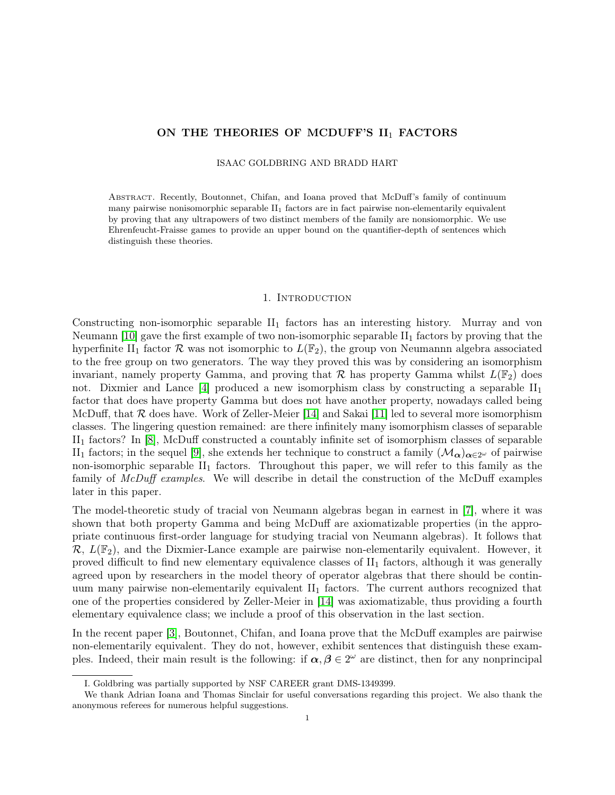# ON THE THEORIES OF MCDUFF'S  $II_1$  FACTORS

ISAAC GOLDBRING AND BRADD HART

Abstract. Recently, Boutonnet, Chifan, and Ioana proved that McDuff's family of continuum many pairwise nonisomorphic separable  $II<sub>1</sub>$  factors are in fact pairwise non-elementarily equivalent by proving that any ultrapowers of two distinct members of the family are nonsiomorphic. We use Ehrenfeucht-Fraisse games to provide an upper bound on the quantifier-depth of sentences which distinguish these theories.

# 1. INTRODUCTION

Constructing non-isomorphic separable  $II_1$  factors has an interesting history. Murray and von Neumann [\[10\]](#page-13-0) gave the first example of two non-isomorphic separable  $II_1$  factors by proving that the hyperfinite II<sub>1</sub> factor R was not isomorphic to  $L(\mathbb{F}_2)$ , the group von Neumannn algebra associated to the free group on two generators. The way they proved this was by considering an isomorphism invariant, namely property Gamma, and proving that  $\mathcal R$  has property Gamma whilst  $L(\mathbb F_2)$  does not. Dixmier and Lance  $[4]$  produced a new isomorphism class by constructing a separable  $II_1$ factor that does have property Gamma but does not have another property, nowadays called being McDuff, that  $R$  does have. Work of Zeller-Meier [\[14\]](#page-13-2) and Sakai [\[11\]](#page-13-3) led to several more isomorphism classes. The lingering question remained: are there infinitely many isomorphism classes of separable II<sup>1</sup> factors? In [\[8\]](#page-13-4), McDuff constructed a countably infinite set of isomorphism classes of separable II<sub>1</sub> factors; in the sequel [\[9\]](#page-13-5), she extends her technique to construct a family  $(\mathcal{M}_{\alpha})_{\alpha \in 2^{\omega}}$  of pairwise non-isomorphic separable  $II_1$  factors. Throughout this paper, we will refer to this family as the family of McDuff examples. We will describe in detail the construction of the McDuff examples later in this paper.

The model-theoretic study of tracial von Neumann algebras began in earnest in [\[7\]](#page-13-6), where it was shown that both property Gamma and being McDuff are axiomatizable properties (in the appropriate continuous first-order language for studying tracial von Neumann algebras). It follows that  $\mathcal{R}, L(\mathbb{F}_2)$ , and the Dixmier-Lance example are pairwise non-elementarily equivalent. However, it proved difficult to find new elementary equivalence classes of  $II_1$  factors, although it was generally agreed upon by researchers in the model theory of operator algebras that there should be continuum many pairwise non-elementarily equivalent  $II_1$  factors. The current authors recognized that one of the properties considered by Zeller-Meier in [\[14\]](#page-13-2) was axiomatizable, thus providing a fourth elementary equivalence class; we include a proof of this observation in the last section.

In the recent paper [\[3\]](#page-13-7), Boutonnet, Chifan, and Ioana prove that the McDuff examples are pairwise non-elementarily equivalent. They do not, however, exhibit sentences that distinguish these examples. Indeed, their main result is the following: if  $\alpha, \beta \in 2^{\omega}$  are distinct, then for any nonprincipal

I. Goldbring was partially supported by NSF CAREER grant DMS-1349399.

We thank Adrian Ioana and Thomas Sinclair for useful conversations regarding this project. We also thank the anonymous referees for numerous helpful suggestions.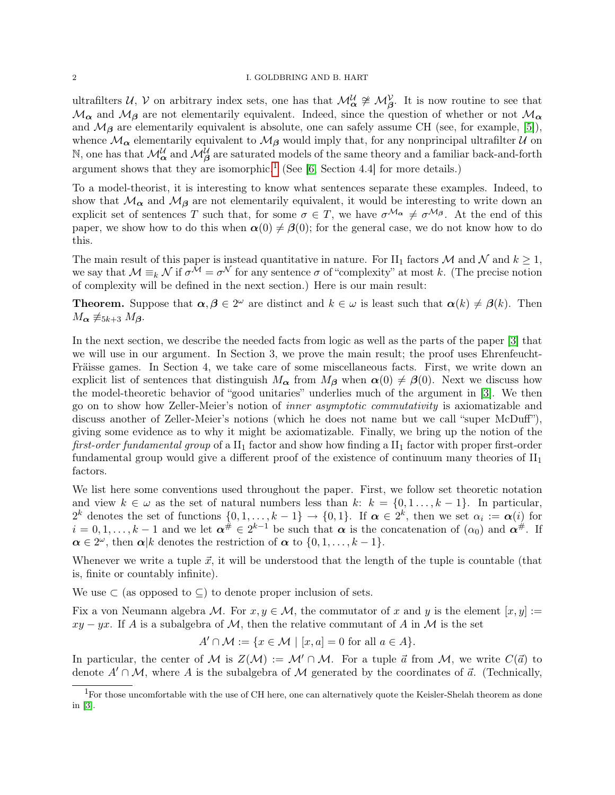#### 2 I. GOLDBRING AND B. HART

ultrafilters  $U, V$  on arbitrary index sets, one has that  $\mathcal{M}_{\alpha}^{\mathcal{U}} \ncong \mathcal{M}_{\beta}^{\mathcal{V}}$ . It is now routine to see that  $M_{\alpha}$  and  $M_{\beta}$  are not elementarily equivalent. Indeed, since the question of whether or not  $M_{\alpha}$ and  $M_{\beta}$  are elementarily equivalent is absolute, one can safely assume CH (see, for example, [\[5\]](#page-13-8)), whence  $\mathcal{M}_{\alpha}$  elementarily equivalent to  $\mathcal{M}_{\beta}$  would imply that, for any nonprincipal ultrafilter  $\mathcal{U}$  on N, one has that  $\mathcal{M}_{\alpha}^{\mathcal{U}}$  and  $\mathcal{M}_{\beta}^{\mathcal{U}}$  are saturated models of the same theory and a familiar back-and-forth argument shows that they are isomorphic.<sup>[1](#page-1-0)</sup> (See [\[6,](#page-13-9) Section 4.4] for more details.)

To a model-theorist, it is interesting to know what sentences separate these examples. Indeed, to show that  $\mathcal{M}_{\alpha}$  and  $\mathcal{M}_{\beta}$  are not elementarily equivalent, it would be interesting to write down an explicit set of sentences T such that, for some  $\sigma \in T$ , we have  $\sigma^{\mathcal{M}_{\alpha}} \neq \sigma^{\mathcal{M}_{\beta}}$ . At the end of this paper, we show how to do this when  $\alpha(0) \neq \beta(0)$ ; for the general case, we do not know how to do this.

The main result of this paper is instead quantitative in nature. For II<sub>1</sub> factors M and N and  $k \ge 1$ , we say that  $\mathcal{M} \equiv_k \mathcal{N}$  if  $\sigma^{\mathcal{M}} = \sigma^{\mathcal{N}}$  for any sentence  $\sigma$  of "complexity" at most k. (The precise notion of complexity will be defined in the next section.) Here is our main result:

**Theorem.** Suppose that  $\alpha, \beta \in 2^{\omega}$  are distinct and  $k \in \omega$  is least such that  $\alpha(k) \neq \beta(k)$ . Then  $M_{\alpha} \not\equiv_{5k+3} M_{\beta}$ .

In the next section, we describe the needed facts from logic as well as the parts of the paper [\[3\]](#page-13-7) that we will use in our argument. In Section 3, we prove the main result; the proof uses Ehrenfeucht-Fräisse games. In Section 4, we take care of some miscellaneous facts. First, we write down an explicit list of sentences that distinguish  $M_{\alpha}$  from  $M_{\beta}$  when  $\alpha(0) \neq \beta(0)$ . Next we discuss how the model-theoretic behavior of "good unitaries" underlies much of the argument in [\[3\]](#page-13-7). We then go on to show how Zeller-Meier's notion of inner asymptotic commutativity is axiomatizable and discuss another of Zeller-Meier's notions (which he does not name but we call "super McDuff"), giving some evidence as to why it might be axiomatizable. Finally, we bring up the notion of the first-order fundamental group of a  $II_1$  factor and show how finding a  $II_1$  factor with proper first-order fundamental group would give a different proof of the existence of continuum many theories of  $II_1$ factors.

We list here some conventions used throughout the paper. First, we follow set theoretic notation and view  $k \in \omega$  as the set of natural numbers less than  $k: k = \{0, 1, \ldots, k-1\}$ . In particular,  $2^k$  denotes the set of functions  $\{0,1,\ldots,k-1\} \to \{0,1\}$ . If  $\boldsymbol{\alpha} \in 2^k$ , then we set  $\alpha_i := \boldsymbol{\alpha}(i)$  for  $i = 0, 1, \ldots, k-1$  and we let  $\alpha^{\#} \in 2^{k-1}$  be such that  $\alpha$  is the concatenation of  $(\alpha_0)$  and  $\alpha^{\#}$ . If  $\alpha \in 2^{\omega}$ , then  $\alpha | k$  denotes the restriction of  $\alpha$  to  $\{0, 1, \ldots, k-1\}$ .

Whenever we write a tuple  $\vec{x}$ , it will be understood that the length of the tuple is countable (that is, finite or countably infinite).

We use  $\subset$  (as opposed to  $\subset$ ) to denote proper inclusion of sets.

Fix a von Neumann algebra M. For  $x, y \in M$ , the commutator of x and y is the element  $[x, y] :=$  $xy - yx$ . If A is a subalgebra of M, then the relative commutant of A in M is the set

$$
A' \cap \mathcal{M} := \{ x \in \mathcal{M} \mid [x, a] = 0 \text{ for all } a \in A \}.
$$

In particular, the center of M is  $Z(\mathcal{M}) := \mathcal{M}' \cap \mathcal{M}$ . For a tuple  $\vec{a}$  from M, we write  $C(\vec{a})$  to denote  $A' \cap M$ , where A is the subalgebra of M generated by the coordinates of  $\vec{a}$ . (Technically,

<span id="page-1-0"></span><sup>&</sup>lt;sup>1</sup>For those uncomfortable with the use of CH here, one can alternatively quote the Keisler-Shelah theorem as done in [\[3\]](#page-13-7).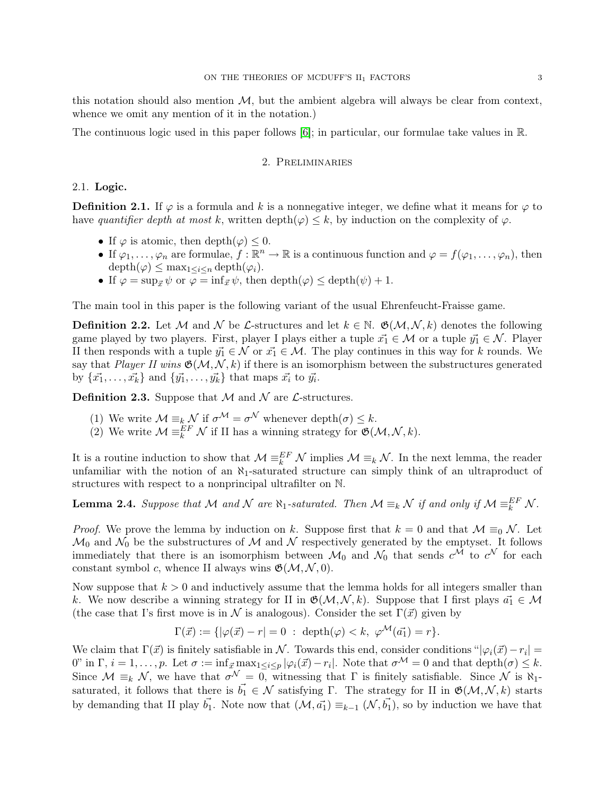this notation should also mention  $M$ , but the ambient algebra will always be clear from context, whence we omit any mention of it in the notation.)

The continuous logic used in this paper follows [\[6\]](#page-13-9); in particular, our formulae take values in R.

### 2. Preliminaries

#### 2.1. Logic.

**Definition 2.1.** If  $\varphi$  is a formula and k is a nonnegative integer, we define what it means for  $\varphi$  to have quantifier depth at most k, written depth( $\varphi$ )  $\leq$  k, by induction on the complexity of  $\varphi$ .

- If  $\varphi$  is atomic, then depth $(\varphi) \leq 0$ .
- If  $\varphi_1,\ldots,\varphi_n$  are formulae,  $f:\mathbb{R}^n\to\mathbb{R}$  is a continuous function and  $\varphi=f(\varphi_1,\ldots,\varphi_n)$ , then  $depth(\varphi) \leq max_{1 \leq i \leq n} depth(\varphi_i).$
- If  $\varphi = \sup_{\vec{x}} \psi$  or  $\varphi = \inf_{\vec{x}} \psi$ , then depth $(\varphi) \leq$  depth $(\psi) + 1$ .

The main tool in this paper is the following variant of the usual Ehrenfeucht-Fraisse game.

**Definition 2.2.** Let M and N be L-structures and let  $k \in \mathbb{N}$ .  $\mathfrak{G}(\mathcal{M}, \mathcal{N}, k)$  denotes the following game played by two players. First, player I plays either a tuple  $\vec{x_1} \in \mathcal{M}$  or a tuple  $\vec{y_1} \in \mathcal{N}$ . Player II then responds with a tuple  $\vec{y_1} \in \mathcal{N}$  or  $\vec{x_1} \in \mathcal{M}$ . The play continues in this way for k rounds. We say that Player II wins  $\mathfrak{G}(\mathcal{M}, \mathcal{N}, k)$  if there is an isomorphism between the substructures generated by  $\{\vec{x_1}, \ldots, \vec{x_k}\}\$  and  $\{\vec{y_1}, \ldots, \vec{y_k}\}\$  that maps  $\vec{x_i}$  to  $\vec{y_i}$ .

**Definition 2.3.** Suppose that  $M$  and  $N$  are  $\mathcal{L}$ -structures.

- (1) We write  $\mathcal{M} \equiv_k \mathcal{N}$  if  $\sigma^{\mathcal{M}} = \sigma^{\mathcal{N}}$  whenever depth $(\sigma) \leq k$ .
- (2) We write  $\mathcal{M} \equiv_k^{EF} \mathcal{N}$  if II has a winning strategy for  $\mathfrak{G}(\mathcal{M}, \mathcal{N}, k)$ .

It is a routine induction to show that  $\mathcal{M} \equiv_k^E \mathcal{N}$  implies  $\mathcal{M} \equiv_k \mathcal{N}$ . In the next lemma, the reader unfamiliar with the notion of an  $\aleph_1$ -saturated structure can simply think of an ultraproduct of structures with respect to a nonprincipal ultrafilter on N.

**Lemma 2.4.** Suppose that M and N are  $\aleph_1$ -saturated. Then  $\mathcal{M} \equiv_k \mathcal{N}$  if and only if  $\mathcal{M} \equiv_k^{EF} \mathcal{N}$ .

*Proof.* We prove the lemma by induction on k. Suppose first that  $k = 0$  and that  $\mathcal{M} \equiv_0 \mathcal{N}$ . Let  $\mathcal{M}_0$  and  $\mathcal{N}_0$  be the substructures of M and N respectively generated by the emptyset. It follows immediately that there is an isomorphism between  $\mathcal{M}_0$  and  $\mathcal{N}_0$  that sends  $c^{\mathcal{M}}$  to  $c^{\mathcal{N}}$  for each constant symbol c, whence II always wins  $\mathfrak{G}(\mathcal{M}, \mathcal{N}, 0)$ .

Now suppose that  $k > 0$  and inductively assume that the lemma holds for all integers smaller than k. We now describe a winning strategy for II in  $\mathfrak{G}(\mathcal{M}, \mathcal{N}, k)$ . Suppose that I first plays  $\vec{a}_1 \in \mathcal{M}$ (the case that I's first move is in N is analogous). Consider the set  $\Gamma(\vec{x})$  given by

$$
\Gamma(\vec{x}) := \{ |\varphi(\vec{x}) - r| = 0 : \text{depth}(\varphi) < k, \varphi^{\mathcal{M}}(\vec{a_1}) = r \}.
$$

We claim that  $\Gamma(\vec{x})$  is finitely satisfiable in N. Towards this end, consider conditions " $|\varphi_i(\vec{x}) - r_i|$  = 0" in  $\Gamma$ ,  $i = 1, \ldots, p$ . Let  $\sigma := \inf_{\vec{x}} \max_{1 \leq i \leq p} |\varphi_i(\vec{x}) - r_i|$ . Note that  $\sigma^{\mathcal{M}} = 0$  and that  $\text{depth}(\sigma) \leq k$ . Since  $\mathcal{M} \equiv_k \mathcal{N}$ , we have that  $\sigma^{\mathcal{N}} = 0$ , witnessing that  $\Gamma$  is finitely satisfiable. Since  $\mathcal{N}$  is  $\aleph_1$ saturated, it follows that there is  $\vec{b_1} \in \mathcal{N}$  satisfying Γ. The strategy for II in  $\mathfrak{G}(\mathcal{M}, \mathcal{N}, k)$  starts by demanding that II play  $\vec{b_1}$ . Note now that  $(\mathcal{M}, \vec{a_1}) \equiv_{k-1} (\mathcal{N}, \vec{b_1})$ , so by induction we have that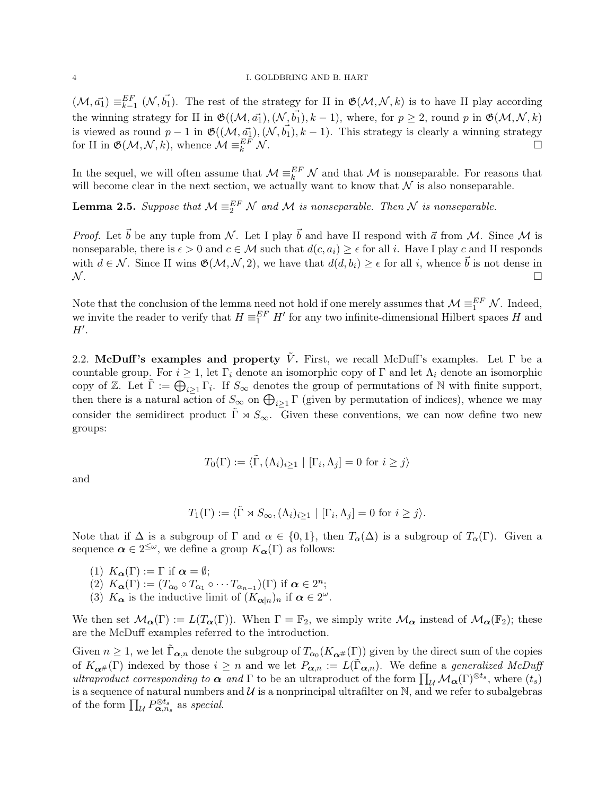$(\mathcal{M}, \vec{a_1}) \equiv_{k=1}^{EF} (\mathcal{N}, \vec{b_1}).$  The rest of the strategy for II in  $\mathfrak{G}(\mathcal{M}, \mathcal{N}, k)$  is to have II play according the winning strategy for II in  $\mathfrak{G}((\mathcal{M}, \vec{a_1}),(\mathcal{N}, \vec{b_1}), k - 1)$ , where, for  $p \geq 2$ , round p in  $\mathfrak{G}(\mathcal{M}, \mathcal{N}, k)$ is viewed as round  $p-1$  in  $\mathfrak{G}((\mathcal{M}, \vec{a_1}),(\mathcal{N}, \vec{b_1}), k-1)$ . This strategy is clearly a winning strategy for II in  $\mathfrak{G}(\mathcal{M}, \mathcal{N}, k)$ , whence  $\mathcal{M} \equiv_k^{EF} \mathcal{N}$ .  $\mathbb{E}_k^{EF} \mathcal{N}.$ 

In the sequel, we will often assume that  $\mathcal{M} \equiv_k^{EF} \mathcal{N}$  and that  $\mathcal{M}$  is nonseparable. For reasons that will become clear in the next section, we actually want to know that  $\mathcal N$  is also nonseparable.

**Lemma 2.5.** Suppose that  $M \equiv_2^{EF} N$  and M is nonseparable. Then N is nonseparable.

*Proof.* Let  $\vec{b}$  be any tuple from N. Let I play  $\vec{b}$  and have II respond with  $\vec{a}$  from M. Since M is nonseparable, there is  $\epsilon > 0$  and  $c \in \mathcal{M}$  such that  $d(c, a_i) \geq \epsilon$  for all i. Have I play c and II responds with  $d \in \mathcal{N}$ . Since II wins  $\mathfrak{G}(\mathcal{M}, \mathcal{N}, 2)$ , we have that  $d(d, b_i) \geq \epsilon$  for all i, whence  $\vec{b}$  is not dense in  $\mathcal N$  .  $\Box$ 

Note that the conclusion of the lemma need not hold if one merely assumes that  $\mathcal{M} \equiv_1^{EF} \mathcal{N}$ . Indeed, we invite the reader to verify that  $H \equiv_1^{EF} H'$  for any two infinite-dimensional Hilbert spaces H and  $H'.$ 

2.2. McDuff's examples and property  $\tilde{V}$ . First, we recall McDuff's examples. Let  $\Gamma$  be a countable group. For  $i \geq 1$ , let  $\Gamma_i$  denote an isomorphic copy of  $\Gamma$  and let  $\Lambda_i$  denote an isomorphic copy of Z. Let  $\tilde{\Gamma} := \bigoplus_{i \geq 1} \Gamma_i$ . If  $S_{\infty}$  denotes the group of permutations of N with finite support, then there is a natural action of  $S_{\infty}$  on  $\bigoplus_{i\geq 1} \Gamma$  (given by permutation of indices), whence we may consider the semidirect product  $\tilde{\Gamma} \rtimes S_{\infty}$ . Given these conventions, we can now define two new groups:

$$
T_0(\Gamma) := \langle \tilde{\Gamma}, (\Lambda_i)_{i \ge 1} | [\Gamma_i, \Lambda_j] = 0 \text{ for } i \ge j \rangle
$$

and

$$
T_1(\Gamma) := \langle \tilde{\Gamma} \rtimes S_{\infty}, (\Lambda_i)_{i \ge 1} | [\Gamma_i, \Lambda_j] = 0 \text{ for } i \ge j \rangle.
$$

Note that if  $\Delta$  is a subgroup of  $\Gamma$  and  $\alpha \in \{0,1\}$ , then  $T_{\alpha}(\Delta)$  is a subgroup of  $T_{\alpha}(\Gamma)$ . Given a sequence  $\boldsymbol{\alpha} \in 2^{\leq \omega}$ , we define a group  $K_{\boldsymbol{\alpha}}(\Gamma)$  as follows:

(1)  $K_{\alpha}(\Gamma) := \Gamma$  if  $\alpha = \emptyset$ ;

- (2)  $K_{\boldsymbol{\alpha}}(\Gamma) := (T_{\alpha_0} \circ T_{\alpha_1} \circ \cdots T_{\alpha_{n-1}})(\Gamma)$  if  $\boldsymbol{\alpha} \in 2^n$ ;
- (3)  $K_{\alpha}$  is the inductive limit of  $(K_{\alpha|n})_n$  if  $\alpha \in 2^{\omega}$ .

We then set  $\mathcal{M}_{\alpha}(\Gamma) := L(T_{\alpha}(\Gamma)).$  When  $\Gamma = \mathbb{F}_2$ , we simply write  $\mathcal{M}_{\alpha}$  instead of  $\mathcal{M}_{\alpha}(\mathbb{F}_2)$ ; these are the McDuff examples referred to the introduction.

Given  $n \geq 1$ , we let  $\tilde{\Gamma}_{\alpha,n}$  denote the subgroup of  $T_{\alpha_0}(K_{\alpha^\#}(\Gamma))$  given by the direct sum of the copies of  $K_{\alpha}(\Gamma)$  indexed by those  $i \geq n$  and we let  $P_{\alpha,n} := L(\Gamma_{\alpha,n})$ . We define a *generalized McDuff* ultraproduct corresponding to  $\alpha$  and  $\Gamma$  to be an ultraproduct of the form  $\prod_{\mathcal{U}} \mathcal{M}_{\alpha}(\Gamma)^{\otimes t_s}$ , where  $(t_s)$ is a sequence of natural numbers and  $\mathcal U$  is a nonprincipal ultrafilter on  $\mathbb N$ , and we refer to subalgebras of the form  $\prod_{\mathcal{U}} P_{\mathbf{\alpha},n_s}^{\otimes t_s}$  as special.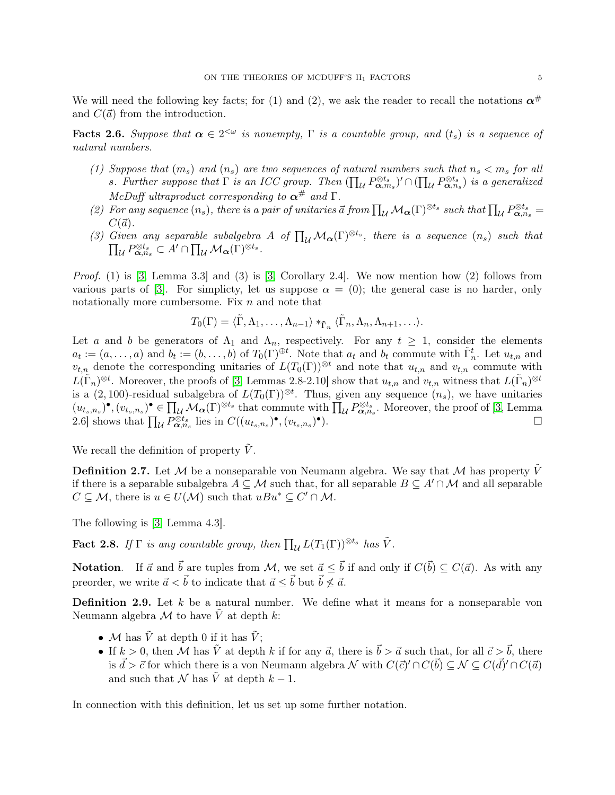We will need the following key facts; for (1) and (2), we ask the reader to recall the notations  $\alpha^{\#}$ and  $C(\vec{a})$  from the introduction.

<span id="page-4-1"></span>**Facts 2.6.** Suppose that  $\alpha \in 2^{<\omega}$  is nonempty,  $\Gamma$  is a countable group, and  $(t_s)$  is a sequence of natural numbers.

- (1) Suppose that  $(m_s)$  and  $(n_s)$  are two sequences of natural numbers such that  $n_s < m_s$  for all s. Further suppose that  $\Gamma$  is an ICC group. Then  $(\prod_{\mathcal{U}} P^{\otimes t_s}_{\alpha,m_s})' \cap (\prod_{\mathcal{U}} P^{\otimes t_s}_{\alpha,n_s})$  is a generalized McDuff ultraproduct corresponding to  $\alpha^{\#}$  and  $\Gamma$ .
- (2) For any sequence  $(n_s)$ , there is a pair of unitaries  $\vec{a}$  from  $\prod_{\mathcal{U}} \mathcal{M}_{\alpha}(\Gamma)^{\otimes t_s}$  such that  $\prod_{\mathcal{U}} P_{\alpha,n_s}^{\otimes t_s}$  $C(\vec{a})$ .
- (3) Given any separable subalgebra A of  $\prod_{\mathcal{U}}\mathcal{M}_{\alpha}(\Gamma)^{\otimes t_s}$ , there is a sequence  $(n_s)$  such that  $\prod_{\mathcal{U}} P^{\otimes t_s}_{\mathbf{\alpha},n_s} \subset A' \cap \prod_{\mathcal{U}} \mathcal{M}_{\mathbf{\alpha}}(\Gamma)^{\otimes t_s}.$

Proof. (1) is [\[3,](#page-13-7) Lemma 3.3] and (3) is [\[3,](#page-13-7) Corollary 2.4]. We now mention how (2) follows from various parts of [\[3\]](#page-13-7). For simplicty, let us suppose  $\alpha = (0)$ ; the general case is no harder, only notationally more cumbersome. Fix  $n$  and note that

$$
T_0(\Gamma) = \langle \tilde{\Gamma}, \Lambda_1, \ldots, \Lambda_{n-1} \rangle *_{\tilde{\Gamma}_n} \langle \tilde{\Gamma}_n, \Lambda_n, \Lambda_{n+1}, \ldots \rangle.
$$

Let a and b be generators of  $\Lambda_1$  and  $\Lambda_n$ , respectively. For any  $t \geq 1$ , consider the elements  $a_t := (a, \ldots, a)$  and  $b_t := (b, \ldots, b)$  of  $T_0(\Gamma)^{\oplus t}$ . Note that  $a_t$  and  $b_t$  commute with  $\tilde{\Gamma}_n^t$ . Let  $u_{t,n}$  and  $v_{t,n}$  denote the corresponding unitaries of  $L(T_0(\Gamma))^{\otimes t}$  and note that  $u_{t,n}$  and  $v_{t,n}$  commute with  $L(\tilde{\Gamma}_n)^{\otimes t}$ . Moreover, the proofs of [\[3,](#page-13-7) Lemmas 2.8-2.10] show that  $u_{t,n}$  and  $v_{t,n}$  witness that  $L(\tilde{\Gamma}_n)^{\otimes t}$ is a  $(2,100)$ -residual subalgebra of  $L(T_0(\Gamma))^{\otimes t}$ . Thus, given any sequence  $(n_s)$ , we have unitaries  $(u_{t_s,n_s})^{\bullet}, (v_{t_s,n_s})^{\bullet} \in \prod_{\mathcal{U}} \mathcal{M}_{\alpha}(\Gamma)^{\otimes t_s}$  that commute with  $\prod_{\mathcal{U}} P_{\alpha,n_s}^{\otimes t_s}$ . Moreover, the proof of [\[3,](#page-13-7) Lemma 2.6] shows that  $\prod_{\mathcal{U}} P^{\otimes t_s}_{\alpha, n_s}$  lies in  $C((u_{t_s,n_s})^{\bullet}, (v_{t_s,n_s})^{\bullet}).$ 

We recall the definition of property  $V$ .

**Definition 2.7.** Let M be a nonseparable von Neumann algebra. We say that M has property  $\tilde{V}$ if there is a separable subalgebra  $A \subseteq \mathcal{M}$  such that, for all separable  $B \subseteq A' \cap \mathcal{M}$  and all separable  $C \subseteq \mathcal{M}$ , there is  $u \in U(\mathcal{M})$  such that  $uBu^* \subseteq C' \cap \mathcal{M}$ .

The following is [\[3,](#page-13-7) Lemma 4.3].

<span id="page-4-0"></span>**Fact 2.8.** If  $\Gamma$  is any countable group, then  $\prod_{\mathcal{U}} L(T_1(\Gamma))^{\otimes t_s}$  has  $\tilde{V}$ .

**Notation.** If  $\vec{a}$  and  $\vec{b}$  are tuples from M, we set  $\vec{a} \leq \vec{b}$  if and only if  $C(\vec{b}) \subseteq C(\vec{a})$ . As with any preorder, we write  $\vec{a} < \vec{b}$  to indicate that  $\vec{a} < \vec{b}$  but  $\vec{b} \not\leq \vec{a}$ .

**Definition 2.9.** Let  $k$  be a natural number. We define what it means for a nonseparable von Neumann algebra  $\mathcal M$  to have  $\tilde V$  at depth  $k$ :

- M has  $\tilde{V}$  at depth 0 if it has  $\tilde{V}$ ;
- If  $k > 0$ , then M has  $\tilde{V}$  at depth k if for any  $\vec{a}$ , there is  $\vec{b} > \vec{a}$  such that, for all  $\vec{c} > \vec{b}$ , there is  $\vec{d} > \vec{c}$  for which there is a von Neumann algebra  $\mathcal N$  with  $C(\vec{c})' \cap C(\vec{b}) \subseteq \mathcal N \subseteq C(\vec{d})' \cap C(\vec{a})$ and such that N has  $\tilde{V}$  at depth  $k-1$ .

In connection with this definition, let us set up some further notation.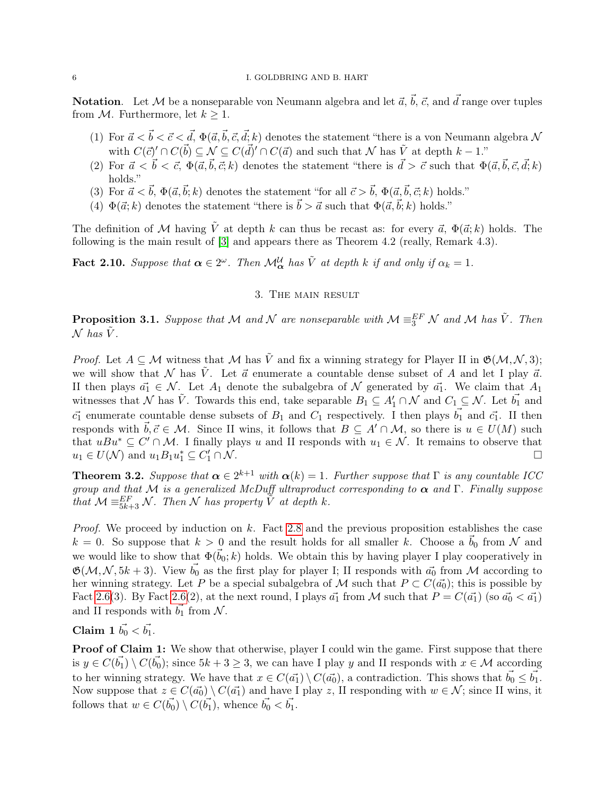**Notation**. Let M be a nonseparable von Neumann algebra and let  $\vec{a}$ ,  $\vec{b}$ ,  $\vec{c}$ , and  $\vec{d}$  range over tuples from M. Furthermore, let  $k \geq 1$ .

- (1) For  $\vec{a} < \vec{b} < \vec{c} < \vec{d}$ ,  $\Phi(\vec{a}, \vec{b}, \vec{c}, \vec{d}; k)$  denotes the statement "there is a von Neumann algebra N with  $C(\vec{c})' \cap C(\vec{b}) \subseteq \mathcal{N} \subseteq C(\vec{d})' \cap C(\vec{a})$  and such that  $\mathcal N$  has  $\tilde{V}$  at depth  $k-1$ ."
- (2) For  $\vec{a} < \vec{b} < \vec{c}$ ,  $\Phi(\vec{a}, \vec{b}, \vec{c}; k)$  denotes the statement "there is  $\vec{d} > \vec{c}$  such that  $\Phi(\vec{a}, \vec{b}, \vec{c}, \vec{d}; k)$ holds."
- (3) For  $\vec{a} < \vec{b}$ ,  $\Phi(\vec{a}, \vec{b}; k)$  denotes the statement "for all  $\vec{c} > \vec{b}$ ,  $\Phi(\vec{a}, \vec{b}, \vec{c}; k)$  holds."
- (4)  $\Phi(\vec{a}; k)$  denotes the statement "there is  $\vec{b} > \vec{a}$  such that  $\Phi(\vec{a}, \vec{b}; k)$  holds."

The definition of M having  $\tilde{V}$  at depth k can thus be recast as: for every  $\vec{a}$ ,  $\Phi(\vec{a}; k)$  holds. The following is the main result of [\[3\]](#page-13-7) and appears there as Theorem 4.2 (really, Remark 4.3).

<span id="page-5-0"></span>**Fact 2.10.** Suppose that  $\alpha \in 2^{\omega}$ . Then  $\mathcal{M}_{\alpha}^{U}$  has  $\tilde{V}$  at depth k if and only if  $\alpha_k = 1$ .

## 3. The main result

<span id="page-5-1"></span>**Proposition 3.1.** Suppose that M and N are nonseparable with  $M \equiv_{3}^{EF} N$  and M has  $\tilde{V}$ . Then  $\mathcal N$  has  $\tilde V$ .

*Proof.* Let  $A \subseteq \mathcal{M}$  witness that  $\mathcal{M}$  has  $\tilde{V}$  and fix a winning strategy for Player II in  $\mathfrak{G}(\mathcal{M}, \mathcal{N}, 3)$ ; we will show that N has  $\tilde{V}$ . Let  $\vec{a}$  enumerate a countable dense subset of A and let I play  $\vec{a}$ . II then plays  $\vec{a_1} \in \mathcal{N}$ . Let  $A_1$  denote the subalgebra of  $\mathcal N$  generated by  $\vec{a_1}$ . We claim that  $A_1$ witnesses that N has  $\tilde{V}$ . Towards this end, take separable  $B_1 \subseteq A'_1 \cap N$  and  $C_1 \subseteq N$ . Let  $\vec{b_1}$  and  $\vec{c_1}$  enumerate countable dense subsets of  $B_1$  and  $C_1$  respectively. I then plays  $\vec{b_1}$  and  $\vec{c_1}$ . II then responds with  $\vec{b}, \vec{c} \in \mathcal{M}$ . Since II wins, it follows that  $B \subseteq A' \cap \mathcal{M}$ , so there is  $u \in U(M)$  such that  $uBu^* \subseteq C' \cap M$ . I finally plays u and II responds with  $u_1 \in \mathcal{N}$ . It remains to observe that  $u_1 \in U(\mathcal{N})$  and  $u_1 B_1 u_1^* \subseteq C_1'$  $\frac{1}{1} \cap \mathcal{N}$ .

<span id="page-5-2"></span>**Theorem 3.2.** Suppose that  $\alpha \in 2^{k+1}$  with  $\alpha(k) = 1$ . Further suppose that  $\Gamma$  is any countable ICC group and that M is a generalized McDuff ultraproduct corresponding to  $\alpha$  and Γ. Finally suppose that  $\mathcal{M} \equiv_{5k+3}^{EF} \mathcal{N}$ . Then  $\mathcal N$  has property  $\tilde{V}$  at depth k.

Proof. We proceed by induction on k. Fact [2.8](#page-4-0) and the previous proposition establishes the case  $k = 0$ . So suppose that  $k > 0$  and the result holds for all smaller k. Choose a  $\vec{b}_0$  from N and we would like to show that  $\Phi(\vec{b}_0; k)$  holds. We obtain this by having player I play cooperatively in  $\mathfrak{G}(\mathcal{M}, \mathcal{N}, 5k+3)$ . View  $\vec{b_0}$  as the first play for player I; II responds with  $\vec{a_0}$  from M according to her winning strategy. Let P be a special subalgebra of M such that  $P \subset C(\vec{a_0})$ ; this is possible by Fact [2.6\(](#page-4-1)3). By Fact 2.6(2), at the next round, I plays  $\vec{a_1}$  from M such that  $P = C(\vec{a_1})$  (so  $\vec{a_0} < \vec{a_1}$ ) and II responds with  $\vec{b_1}$  from  $\mathcal N$ .

Claim 1  $\vec{b_0} < \vec{b_1}$ .

Proof of Claim 1: We show that otherwise, player I could win the game. First suppose that there is  $y \in C(\vec{b_1}) \setminus C(\vec{b_0})$ ; since  $5k + 3 \ge 3$ , we can have I play y and II responds with  $x \in \mathcal{M}$  according to her winning strategy. We have that  $x \in C(\vec{a_1}) \setminus C(\vec{a_0})$ , a contradiction. This shows that  $\vec{b_0} \leq \vec{b_1}$ . Now suppose that  $z \in C(\vec{a_0}) \setminus C(\vec{a_1})$  and have I play z, II responding with  $w \in \mathcal{N}$ ; since II wins, it follows that  $w \in C(\vec{b_0}) \setminus C(\vec{b_1})$ , whence  $\vec{b_0} < \vec{b_1}$ .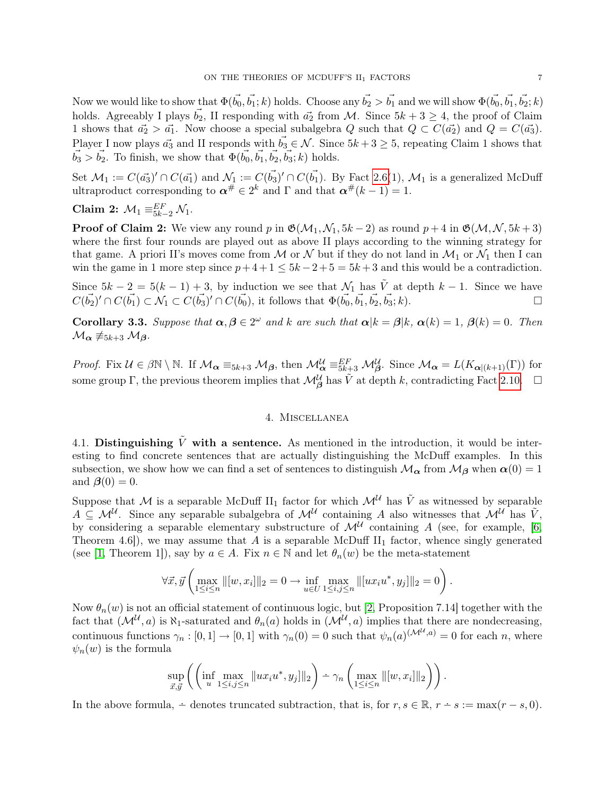Now we would like to show that  $\Phi(\vec{b_0}, \vec{b_1}; k)$  holds. Choose any  $\vec{b_2} > \vec{b_1}$  and we will show  $\Phi(\vec{b_0}, \vec{b_1}, \vec{b_2}; k)$ holds. Agreeably I plays  $\vec{b_2}$ , II responding with  $\vec{a_2}$  from M. Since  $5k + 3 \geq 4$ , the proof of Claim 1 shows that  $\vec{a_2} > \vec{a_1}$ . Now choose a special subalgebra Q such that  $Q \subset C(\vec{a_2})$  and  $Q = C(\vec{a_3})$ . Player I now plays  $\vec{a_3}$  and II responds with  $\vec{b_3} \in \mathcal{N}$ . Since  $5k + 3 \geq 5$ , repeating Claim 1 shows that  $\vec{b}_3 > \vec{b}_2$ . To finish, we show that  $\Phi(\vec{b}_0, \vec{b}_1, \vec{b}_2, \vec{b}_3; k)$  holds.

Set  $\mathcal{M}_1 := C(\vec{a_3})' \cap C(\vec{a_1})$  and  $\mathcal{N}_1 := C(\vec{b_3})' \cap C(\vec{b_1})$ . By Fact [2.6\(](#page-4-1)1),  $\mathcal{M}_1$  is a generalized McDuff ultraproduct corresponding to  $\boldsymbol{\alpha}^{\#} \in 2^k$  and  $\Gamma$  and that  $\boldsymbol{\alpha}^{\#}(k-1) = 1$ .

Claim 2: 
$$
\mathcal{M}_1 \equiv_{5k-2}^{EF} \mathcal{N}_1
$$
.

**Proof of Claim 2:** We view any round p in  $\mathfrak{G}(\mathcal{M}_1, \mathcal{N}_1, 5k - 2)$  as round  $p + 4$  in  $\mathfrak{G}(\mathcal{M}, \mathcal{N}, 5k + 3)$ where the first four rounds are played out as above II plays according to the winning strategy for that game. A priori II's moves come from M or N but if they do not land in  $\mathcal{M}_1$  or  $\mathcal{N}_1$  then I can win the game in 1 more step since  $p+4+1 \leq 5k-2+5=5k+3$  and this would be a contradiction.

Since  $5k - 2 = 5(k - 1) + 3$ , by induction we see that  $\mathcal{N}_1$  has  $\tilde{V}$  at depth  $k - 1$ . Since we have  $C(\vec{b_2})' \cap C(\vec{b_1}) \subset \mathcal{N}_1 \subset C(\vec{b_3})' \cap C(\vec{b_0}),$  it follows that  $\Phi(\vec{b_0}, \vec{b_1}, \vec{b_2}, \vec{b_3}; k)$ .

**Corollary 3.3.** Suppose that  $\alpha, \beta \in 2^{\omega}$  and k are such that  $\alpha | k = \beta | k$ ,  $\alpha(k) = 1$ ,  $\beta(k) = 0$ . Then  $\mathcal{M}_{\alpha} \not\equiv_{5k+3} \mathcal{M}_{\beta}$ .

Proof. Fix  $\mathcal{U} \in \beta \mathbb{N} \setminus \mathbb{N}$ . If  $\mathcal{M}_{\alpha} \equiv_{5k+3} \mathcal{M}_{\beta}$ , then  $\mathcal{M}_{\alpha}^{\mathcal{U}} \equiv_{5k+3}^{EF} \mathcal{M}_{\beta}^{\mathcal{U}}$ . Since  $\mathcal{M}_{\alpha} = L(K_{\alpha \mid (k+1)}(\Gamma))$  for some group  $\Gamma$ , the previous theorem implies that  $\mathcal{M}_{\beta}^{\mathcal{U}}$  has  $\tilde{V}$  at depth k, contradicting Fact [2.10.](#page-5-0)

# 4. Miscellanea

4.1. Distinguishing  $\tilde{V}$  with a sentence. As mentioned in the introduction, it would be interesting to find concrete sentences that are actually distinguishing the McDuff examples. In this subsection, we show how we can find a set of sentences to distinguish  $M_{\alpha}$  from  $M_{\beta}$  when  $\alpha(0) = 1$ and  $\beta(0) = 0$ .

Suppose that M is a separable McDuff II<sub>1</sub> factor for which  $\mathcal{M}^{\mathcal{U}}$  has  $\tilde{V}$  as witnessed by separable  $A \subseteq \mathcal{M}^{\mathcal{U}}$ . Since any separable subalgebra of  $\mathcal{M}^{\mathcal{U}}$  containing A also witnesses that  $\mathcal{M}^{\mathcal{U}}$  has  $\tilde{V}$ , by considering a separable elementary substructure of  $\mathcal{M}^{\mathcal{U}}$  containing A (see, for example, [\[6,](#page-13-9) Theorem 4.6]), we may assume that A is a separable McDuff  $II_1$  factor, whence singly generated (see [\[1,](#page-13-10) Theorem 1]), say by  $a \in A$ . Fix  $n \in \mathbb{N}$  and let  $\theta_n(w)$  be the meta-statement

$$
\forall \vec{x}, \vec{y} \left( \max_{1 \leq i \leq n} \| [w, x_i] \|_2 = 0 \to \inf_{u \in U} \max_{1 \leq i, j \leq n} \| [ux_i u^*, y_j] \|_2 = 0 \right).
$$

Now  $\theta_n(w)$  is not an official statement of continuous logic, but [\[2,](#page-13-11) Proposition 7.14] together with the fact that  $(M^{\mathcal{U}}, a)$  is  $\aleph_1$ -saturated and  $\theta_n(a)$  holds in  $(M^{\mathcal{U}}, a)$  implies that there are nondecreasing, continuous functions  $\gamma_n : [0,1] \to [0,1]$  with  $\gamma_n(0) = 0$  such that  $\psi_n(a)^{(\mathcal{M}^{\mathcal{U}},a)} = 0$  for each n, where  $\psi_n(w)$  is the formula

$$
\sup_{\vec{x},\vec{y}} \left( \left( \inf_{u} \max_{1 \leq i,j \leq n} \|ux_iu^*,y_j\|_2 \right) - \gamma_n \left( \max_{1 \leq i \leq n} \| [w,x_i] \|_2 \right) \right).
$$

In the above formula,  $\div$  denotes truncated subtraction, that is, for  $r, s \in \mathbb{R}$ ,  $r \div s := \max(r - s, 0)$ .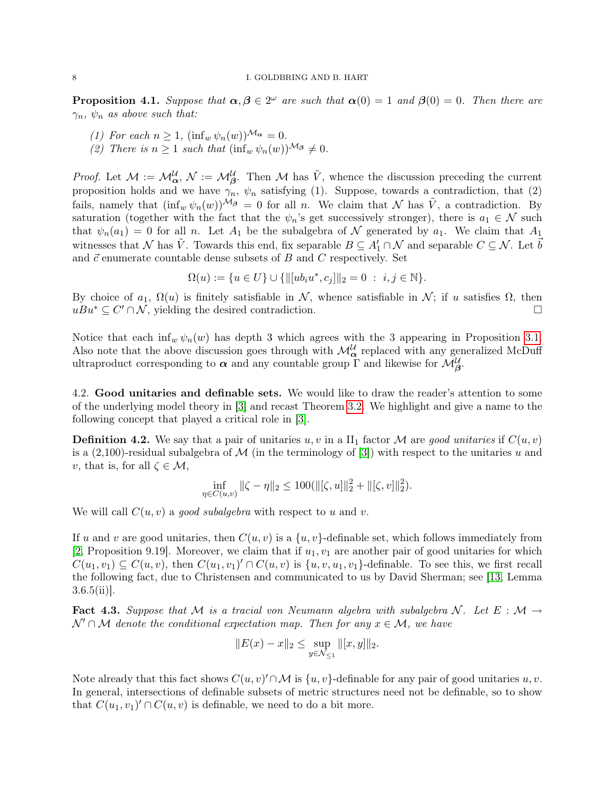**Proposition 4.1.** Suppose that  $\alpha, \beta \in 2^{\omega}$  are such that  $\alpha(0) = 1$  and  $\beta(0) = 0$ . Then there are  $\gamma_n$ ,  $\psi_n$  as above such that:

- (1) For each  $n \geq 1$ ,  $(\inf_w \psi_n(w))^{\mathcal{M}_{\alpha}} = 0$ .
- (2) There is  $n \geq 1$  such that  $(\inf_w \psi_n(w))^{\mathcal{M}_\beta} \neq 0$ .

*Proof.* Let  $M := \mathcal{M}_{\alpha}^{\mathcal{U}}, \mathcal{N} := \mathcal{M}_{\beta}^{\mathcal{U}}$ . Then M has  $\tilde{V}$ , whence the discussion preceding the current proposition holds and we have  $\gamma_n$ ,  $\psi_n$  satisfying (1). Suppose, towards a contradiction, that (2) fails, namely that  $(\inf_w \psi_n(w))^{\mathcal{M}_\beta} = 0$  for all n. We claim that N has  $\tilde{V}$ , a contradiction. By saturation (together with the fact that the  $\psi_n$ 's get successively stronger), there is  $a_1 \in \mathcal{N}$  such that  $\psi_n(a_1) = 0$  for all n. Let  $A_1$  be the subalgebra of N generated by  $a_1$ . We claim that  $A_1$ witnesses that N has  $\tilde{V}$ . Towards this end, fix separable  $B \subseteq A'_1 \cap N$  and separable  $C \subseteq N$ . Let  $\vec{b}$ and  $\vec{c}$  enumerate countable dense subsets of B and C respectively. Set

$$
\Omega(u) := \{ u \in U \} \cup \{ ||[ub_i u^*, c_j]||_2 = 0 \; : \; i, j \in \mathbb{N} \}.
$$

By choice of  $a_1, \Omega(u)$  is finitely satisfiable in N, whence satisfiable in N; if u satisfies  $\Omega$ , then  $uBu^* \subseteq C' \cap N$ , yielding the desired contradiction.

Notice that each inf<sub>w</sub>  $\psi_n(w)$  has depth 3 which agrees with the 3 appearing in Proposition [3.1.](#page-5-1) Also note that the above discussion goes through with  $\mathcal{M}_{\alpha}^{\mathcal{U}}$  replaced with any generalized McDuff ultraproduct corresponding to  $\alpha$  and any countable group  $\Gamma$  and likewise for  $\mathcal{M}_{\beta}^{\mathcal{U}}$ .

4.2. Good unitaries and definable sets. We would like to draw the reader's attention to some of the underlying model theory in [\[3\]](#page-13-7) and recast Theorem [3.2.](#page-5-2) We highlight and give a name to the following concept that played a critical role in [\[3\]](#page-13-7).

**Definition 4.2.** We say that a pair of unitaries u, v in a  $\text{II}_1$  factor M are good unitaries if  $C(u, v)$ is a  $(2,100)$ -residual subalgebra of M (in the terminology of [\[3\]](#page-13-7)) with respect to the unitaries u and v, that is, for all  $\zeta \in \mathcal{M}$ ,

$$
\inf_{\eta \in C(u,v)} \|\zeta - \eta\|_2 \le 100(\|[\zeta, u]\|_2^2 + \|[\zeta, v]\|_2^2).
$$

We will call  $C(u, v)$  a good subalgebra with respect to u and v.

If u and v are good unitaries, then  $C(u, v)$  is a  $\{u, v\}$ -definable set, which follows immediately from [\[2,](#page-13-11) Proposition 9.19]. Moreover, we claim that if  $u_1, v_1$  are another pair of good unitaries for which  $C(u_1, v_1) \subseteq C(u, v)$ , then  $C(u_1, v_1)' \cap C(u, v)$  is  $\{u, v, u_1, v_1\}$ -definable. To see this, we first recall the following fact, due to Christensen and communicated to us by David Sherman; see [\[13,](#page-13-12) Lemma  $3.6.5(ii)$ .

Fact 4.3. Suppose that M is a tracial von Neumann algebra with subalgebra N. Let  $E : M \rightarrow$  $\mathcal{N}' \cap \mathcal{M}$  denote the conditional expectation map. Then for any  $x \in \mathcal{M}$ , we have

$$
||E(x) - x||_2 \le \sup_{y \in \mathcal{N}_{\le 1}} ||[x, y]||_2.
$$

Note already that this fact shows  $C(u, v)' \cap M$  is  $\{u, v\}$ -definable for any pair of good unitaries  $u, v$ . In general, intersections of definable subsets of metric structures need not be definable, so to show that  $C(u_1, v_1) \cap C(u, v)$  is definable, we need to do a bit more.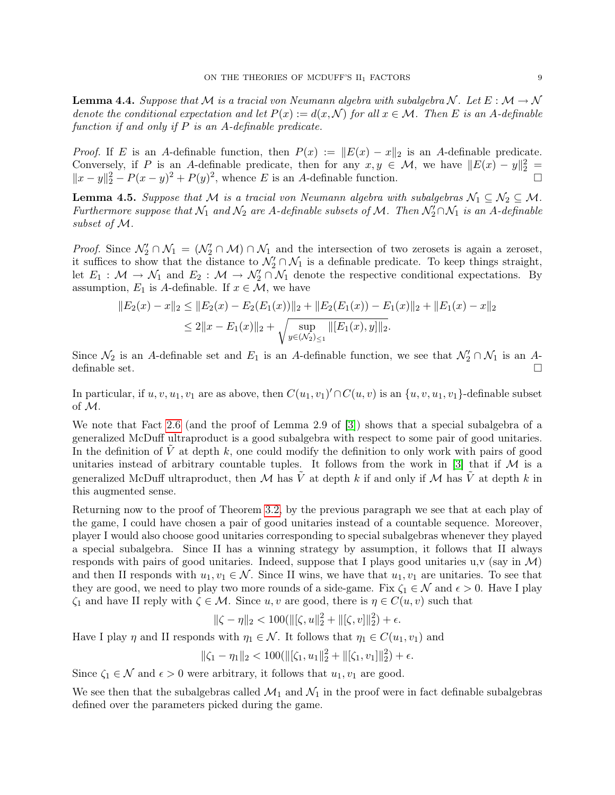**Lemma 4.4.** Suppose that M is a tracial von Neumann algebra with subalgebra N. Let  $E : \mathcal{M} \to \mathcal{N}$ denote the conditional expectation and let  $P(x) := d(x, \mathcal{N})$  for all  $x \in \mathcal{M}$ . Then E is an A-definable function if and only if  $P$  is an A-definable predicate.

*Proof.* If E is an A-definable function, then  $P(x) := ||E(x) - x||_2$  is an A-definable predicate. Conversely, if P is an A-definable predicate, then for any  $x, y \in \mathcal{M}$ , we have  $||E(x) - y||_2^2 =$  $||x-y||_2^2 - P(x-y)^2 + P(y)^2$ , whence *E* is an *A*-definable function. □

**Lemma 4.5.** Suppose that M is a tracial von Neumann algebra with subalgebras  $\mathcal{N}_1 \subseteq \mathcal{N}_2 \subseteq \mathcal{M}$ . Furthermore suppose that  $\mathcal{N}_1$  and  $\mathcal{N}_2$  are A-definable subsets of M. Then  $\mathcal{N}_2' \cap \mathcal{N}_1$  is an A-definable subset of M.

*Proof.* Since  $\mathcal{N}'_2 \cap \mathcal{N}_1 = (\mathcal{N}'_2 \cap \mathcal{M}) \cap \mathcal{N}_1$  and the intersection of two zerosets is again a zeroset, it suffices to show that the distance to  $\mathcal{N}'_2 \cap \mathcal{N}_1$  is a definable predicate. To keep things straight, let  $E_1: \mathcal{M} \to \mathcal{N}_1$  and  $E_2: \mathcal{M} \to \mathcal{N}'_2 \cap \mathcal{N}_1$  denote the respective conditional expectations. By assumption,  $E_1$  is A-definable. If  $x \in \mathcal{M}$ , we have

$$
||E_2(x) - x||_2 \le ||E_2(x) - E_2(E_1(x))||_2 + ||E_2(E_1(x)) - E_1(x)||_2 + ||E_1(x) - x||_2
$$
  
\n
$$
\le 2||x - E_1(x)||_2 + \sqrt{\sup_{y \in (\mathcal{N}_2) \le 1} ||E_1(x), y||_2}.
$$

Since  $\mathcal{N}_2$  is an A-definable set and  $E_1$  is an A-definable function, we see that  $\mathcal{N}'_2 \cap \mathcal{N}_1$  is an Adefinable set.  $\square$ 

In particular, if  $u, v, u_1, v_1$  are as above, then  $C(u_1, v_1) \cap C(u, v)$  is an  $\{u, v, u_1, v_1\}$ -definable subset of M.

We note that Fact [2.6](#page-4-1) (and the proof of Lemma 2.9 of [\[3\]](#page-13-7)) shows that a special subalgebra of a generalized McDuff ultraproduct is a good subalgebra with respect to some pair of good unitaries. In the definition of  $V$  at depth  $k$ , one could modify the definition to only work with pairs of good unitaries instead of arbitrary countable tuples. It follows from the work in [\[3\]](#page-13-7) that if  $M$  is a generalized McDuff ultraproduct, then M has  $\tilde{V}$  at depth k if and only if M has  $\tilde{V}$  at depth k in this augmented sense.

Returning now to the proof of Theorem [3.2,](#page-5-2) by the previous paragraph we see that at each play of the game, I could have chosen a pair of good unitaries instead of a countable sequence. Moreover, player I would also choose good unitaries corresponding to special subalgebras whenever they played a special subalgebra. Since II has a winning strategy by assumption, it follows that II always responds with pairs of good unitaries. Indeed, suppose that I plays good unitaries u,v (say in  $\mathcal{M}$ ) and then II responds with  $u_1, v_1 \in \mathcal{N}$ . Since II wins, we have that  $u_1, v_1$  are unitaries. To see that they are good, we need to play two more rounds of a side-game. Fix  $\zeta_1 \in \mathcal{N}$  and  $\epsilon > 0$ . Have I play  $\zeta_1$  and have II reply with  $\zeta \in \mathcal{M}$ . Since u, v are good, there is  $\eta \in C(u, v)$  such that

$$
\|\zeta - \eta\|_2 < 100(\|[\zeta, u\|_2^2 + \|[\zeta, v]\|_2^2) + \epsilon.
$$

Have I play  $\eta$  and II responds with  $\eta_1 \in \mathcal{N}$ . It follows that  $\eta_1 \in C(u_1, v_1)$  and

$$
\|\zeta_1 - \eta_1\|_2 < 100(\|[\zeta_1, u_1\|_2^2 + \|[\zeta_1, v_1]\|_2^2) + \epsilon.
$$

Since  $\zeta_1 \in \mathcal{N}$  and  $\epsilon > 0$  were arbitrary, it follows that  $u_1, v_1$  are good.

We see then that the subalgebras called  $\mathcal{M}_1$  and  $\mathcal{N}_1$  in the proof were in fact definable subalgebras defined over the parameters picked during the game.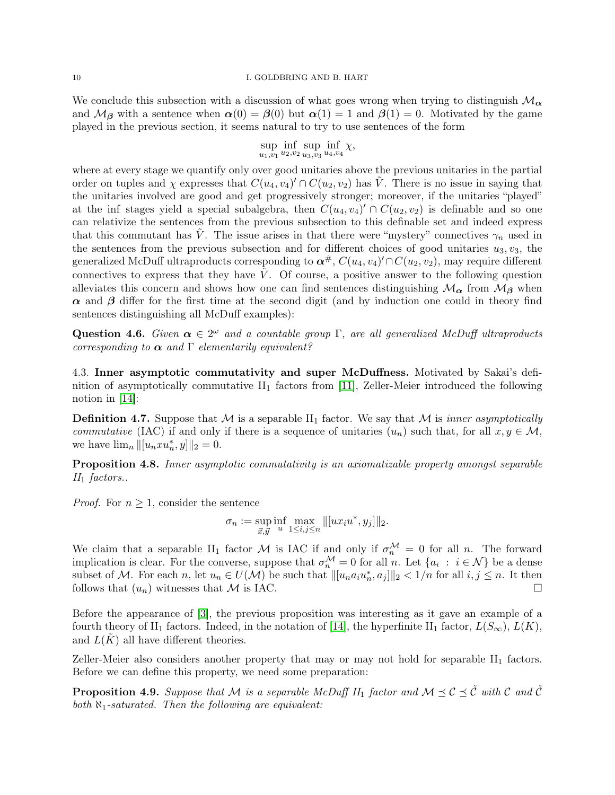We conclude this subsection with a discussion of what goes wrong when trying to distinguish  $\mathcal{M}_{\alpha}$ and  $\mathcal{M}_{\beta}$  with a sentence when  $\alpha(0) = \beta(0)$  but  $\alpha(1) = 1$  and  $\beta(1) = 0$ . Motivated by the game played in the previous section, it seems natural to try to use sentences of the form

$$
\sup_{u_1,v_1} \inf_{u_2,v_2} \sup_{u_3,v_3} \inf_{u_4,v_4} \chi,
$$

where at every stage we quantify only over good unitaries above the previous unitaries in the partial order on tuples and  $\chi$  expresses that  $C(u_4, v_4)' \cap C(u_2, v_2)$  has  $\tilde{V}$ . There is no issue in saying that the unitaries involved are good and get progressively stronger; moreover, if the unitaries "played" at the inf stages yield a special subalgebra, then  $C(u_4, v_4)' \cap C(u_2, v_2)$  is definable and so one can relativize the sentences from the previous subsection to this definable set and indeed express that this commutant has  $\tilde{V}$ . The issue arises in that there were "mystery" connectives  $\gamma_n$  used in the sentences from the previous subsection and for different choices of good unitaries  $u_3, v_3$ , the generalized McDuff ultraproducts corresponding to  $\bm{\alpha}^{\#},$   $C(u_4,v_4)'\cap C(u_2,v_2),$  may require different connectives to express that they have  $\tilde{V}$ . Of course, a positive answer to the following question alleviates this concern and shows how one can find sentences distinguishing  $\mathcal{M}_{\alpha}$  from  $\mathcal{M}_{\beta}$  when  $\alpha$  and  $\beta$  differ for the first time at the second digit (and by induction one could in theory find sentences distinguishing all McDuff examples):

Question 4.6. Given  $\alpha \in 2^{\omega}$  and a countable group  $\Gamma$ , are all generalized McDuff ultraproducts corresponding to  $\alpha$  and  $\Gamma$  elementarily equivalent?

4.3. Inner asymptotic commutativity and super McDuffness. Motivated by Sakai's definition of asymptotically commutative  $II_1$  factors from [\[11\]](#page-13-3), Zeller-Meier introduced the following notion in [\[14\]](#page-13-2):

**Definition 4.7.** Suppose that M is a separable  $II_1$  factor. We say that M is inner asymptotically commutative (IAC) if and only if there is a sequence of unitaries  $(u_n)$  such that, for all  $x, y \in \mathcal{M}$ , we have  $\lim_{n} ||[u_n x u_n^*, y]||_2 = 0.$ 

Proposition 4.8. Inner asymptotic commutativity is an axiomatizable property amongst separable  $II_1$  factors..

*Proof.* For  $n \geq 1$ , consider the sentence

$$
\sigma_n := \sup_{\vec{x}, \vec{y}} \inf_u \max_{1 \le i, j \le n} \| [ux_i u^*, y_j] \|_2.
$$

We claim that a separable II<sub>1</sub> factor M is IAC if and only if  $\sigma_n^{\mathcal{M}} = 0$  for all n. The forward implication is clear. For the converse, suppose that  $\sigma_n^{\mathcal{M}} = 0$  for all n. Let  $\{a_i : i \in \mathcal{N}\}\)$  be a dense subset of M. For each n, let  $u_n \in U(\mathcal{M})$  be such that  $\| [u_n a_i u_n^*, a_j] \|_2 < 1/n$  for all  $i, j \leq n$ . It then follows that  $(u_n)$  witnesses that  $\mathcal M$  is IAC.

Before the appearance of [\[3\]](#page-13-7), the previous proposition was interesting as it gave an example of a fourth theory of II<sub>1</sub> factors. Indeed, in the notation of [\[14\]](#page-13-2), the hyperfinite II<sub>1</sub> factor,  $L(S_{\infty}), L(K)$ , and  $L(K)$  all have different theories.

Zeller-Meier also considers another property that may or may not hold for separable II<sub>1</sub> factors. Before we can define this property, we need some preparation:

**Proposition 4.9.** Suppose that M is a separable McDuff II<sub>1</sub> factor and  $M \preceq C \preceq \tilde{C}$  with C and  $\tilde{C}$ both  $\aleph_1$ -saturated. Then the following are equivalent: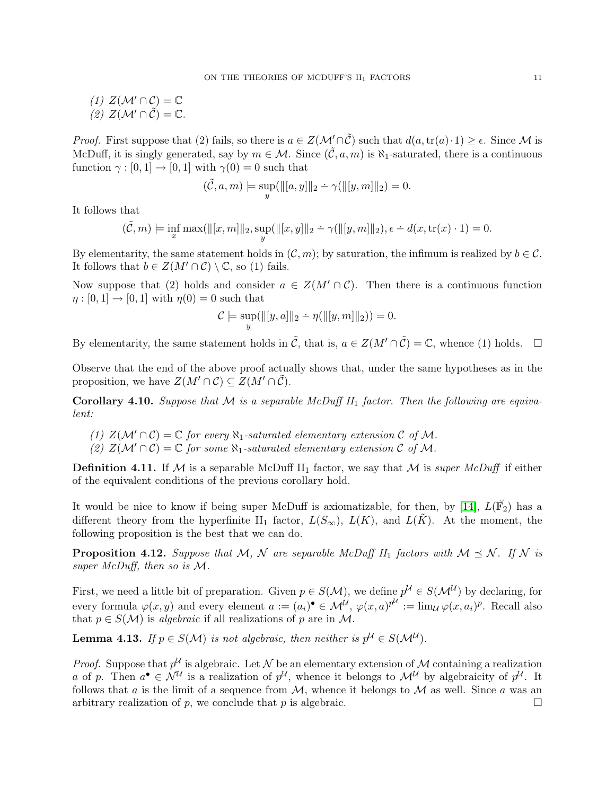(1)  $Z(M' \cap C) = \mathbb{C}$ (2)  $Z(\mathcal{M}' \cap \mathcal{C}) = \mathbb{C}$ .

*Proof.* First suppose that (2) fails, so there is  $a \in Z(\mathcal{M}' \cap \tilde{\mathcal{C}})$  such that  $d(a, \text{tr}(a) \cdot 1) > \epsilon$ . Since M is McDuff, it is singly generated, say by  $m \in \mathcal{M}$ . Since  $(\tilde{\mathcal{C}}, a, m)$  is  $\aleph_1$ -saturated, there is a continuous function  $\gamma : [0, 1] \rightarrow [0, 1]$  with  $\gamma(0) = 0$  such that

$$
(\tilde{\mathcal{C}}, a, m) \models \sup_y (\|[a, y]\|_2 \div \gamma(\|[y, m]\|_2) = 0.
$$

It follows that

$$
(\tilde{\mathcal{C}},m)\models \inf_x\max(\|[x,m]\|_2,\sup_y(\|[x,y]\|_2-\gamma(\|[y,m]\|_2),\epsilon-d(x,\mathrm{tr}(x)\cdot 1)=0.
$$

By elementarity, the same statement holds in  $(C, m)$ ; by saturation, the infimum is realized by  $b \in C$ . It follows that  $b \in Z(M' \cap C) \setminus \mathbb{C}$ , so (1) fails.

Now suppose that (2) holds and consider  $a \in Z(M' \cap C)$ . Then there is a continuous function  $\eta:[0,1]\to[0,1]$  with  $\eta(0)=0$  such that

$$
\mathcal{C} \models \sup_y (\|[y, a]\|_2 - \eta(\|[y, m]\|_2)) = 0.
$$

By elementarity, the same statement holds in  $\tilde{C}$ , that is,  $a \in Z(M' \cap \tilde{C}) = \mathbb{C}$ , whence (1) holds.  $\Box$ 

Observe that the end of the above proof actually shows that, under the same hypotheses as in the proposition, we have  $Z(M' \cap C) \subseteq Z(M' \cap C)$ .

Corollary 4.10. Suppose that M is a separable McDuff  $II_1$  factor. Then the following are equivalent:

- (1)  $Z(\mathcal{M}' \cap \mathcal{C}) = \mathbb{C}$  for every  $\aleph_1$ -saturated elementary extension  $\mathcal{C}$  of  $\mathcal{M}$ .
- (2)  $Z(\mathcal{M}' \cap \mathcal{C}) = \mathbb{C}$  for some  $\aleph_1$ -saturated elementary extension  $\mathcal{C}$  of M.

**Definition 4.11.** If M is a separable McDuff II<sub>1</sub> factor, we say that M is *super McDuff* if either of the equivalent conditions of the previous corollary hold.

It would be nice to know if being super McDuff is axiomatizable, for then, by [\[14\]](#page-13-2),  $L(\vec{\mathbb{F}}_2)$  has a different theory from the hyperfinite II<sub>1</sub> factor,  $L(S_{\infty}), L(K)$ , and  $L(K)$ . At the moment, the following proposition is the best that we can do.

<span id="page-10-0"></span>**Proposition 4.12.** Suppose that M, N are separable McDuff II<sub>1</sub> factors with  $M \leq N$ . If N is super McDuff, then so is M.

First, we need a little bit of preparation. Given  $p \in S(\mathcal{M})$ , we define  $p^{\mathcal{U}} \in S(\mathcal{M}^{\mathcal{U}})$  by declaring, for every formula  $\varphi(x, y)$  and every element  $a := (a_i)^{\bullet} \in \mathcal{M}^{\mathcal{U}}, \ \varphi(x, a)^{p^{\mathcal{U}}} := \lim_{\mathcal{U}} \varphi(x, a_i)^p$ . Recall also that  $p \in S(\mathcal{M})$  is *algebraic* if all realizations of p are in M.

<span id="page-10-1"></span>**Lemma 4.13.** If  $p \in S(\mathcal{M})$  is not algebraic, then neither is  $p^{\mathcal{U}} \in S(\mathcal{M}^{\mathcal{U}})$ .

*Proof.* Suppose that  $p^{\mathcal{U}}$  is algebraic. Let N be an elementary extension of M containing a realization a of p. Then  $a^{\bullet} \in \mathcal{N}^{\mathcal{U}}$  is a realization of  $p^{\mathcal{U}}$ , whence it belongs to  $\mathcal{M}^{\mathcal{U}}$  by algebraicity of  $p^{\mathcal{U}}$ . It follows that a is the limit of a sequence from  $M$ , whence it belongs to  $M$  as well. Since a was an arbitrary realization of p, we conclude that p is algebraic.  $\square$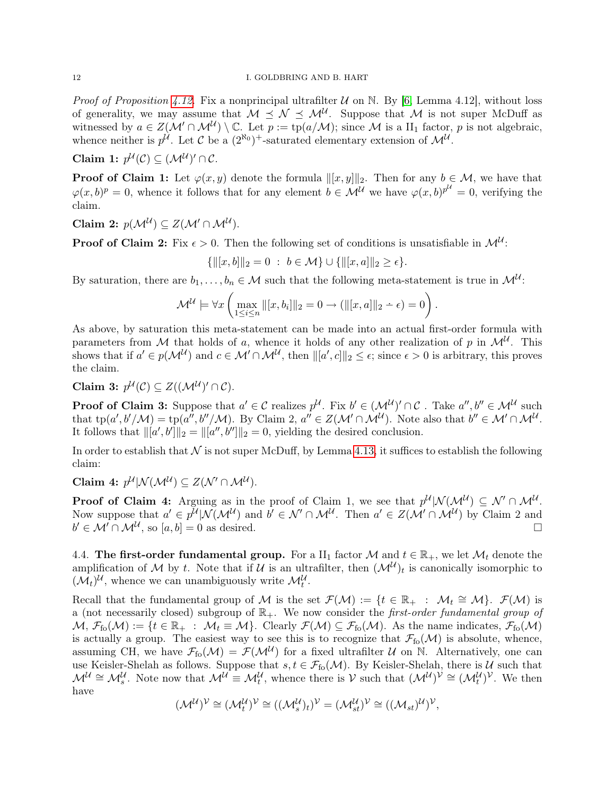*Proof of Proposition [4.12.](#page-10-0)* Fix a nonprincipal ultrafilter  $U$  on N. By [\[6,](#page-13-9) Lemma 4.12], without loss of generality, we may assume that  $M \preceq N \preceq M^{\mathcal{U}}$ . Suppose that M is not super McDuff as witnessed by  $a \in Z(\mathcal{M}' \cap \mathcal{M}^{\mathcal{U}}) \setminus \mathbb{C}$ . Let  $p := \text{tp}(a/\mathcal{M})$ ; since M is a  $\text{II}_1$  factor, p is not algebraic, whence neither is  $p^{\mathcal{U}}$ . Let C be a  $(2^{\aleph_0})^+$ -saturated elementary extension of  $\mathcal{M}^{\mathcal{U}}$ .

Claim 1:  $p^{\mathcal{U}}(\mathcal{C}) \subseteq (\mathcal{M}^{\mathcal{U}})' \cap \mathcal{C}$ .

**Proof of Claim 1:** Let  $\varphi(x, y)$  denote the formula  $\|[x, y]\|_2$ . Then for any  $b \in \mathcal{M}$ , we have that  $\varphi(x,b)^p = 0$ , whence it follows that for any element  $b \in \mathcal{M}^{\mathcal{U}}$  we have  $\varphi(x,b)^{p^{\mathcal{U}}}=0$ , verifying the claim.

Claim 2:  $p(\mathcal{M}^{\mathcal{U}}) \subseteq Z(\mathcal{M}' \cap \mathcal{M}^{\mathcal{U}})$ .

**Proof of Claim 2:** Fix  $\epsilon > 0$ . Then the following set of conditions is unsatisfiable in  $\mathcal{M}^{\mathcal{U}}$ :

 $\{||[x, b]]_2 = 0 : b \in \mathcal{M}\} \cup \{||[x, a]||_2 > \epsilon\}.$ 

By saturation, there are  $b_1, \ldots, b_n \in \mathcal{M}$  such that the following meta-statement is true in  $\mathcal{M}^{\mathcal{U}}$ :

$$
\mathcal{M}^{\mathcal{U}} \models \forall x \left( \max_{1 \leq i \leq n} \| [x, b_i] \|_2 = 0 \to (\|[x, a]\|_2 - \epsilon) = 0 \right).
$$

As above, by saturation this meta-statement can be made into an actual first-order formula with parameters from M that holds of a, whence it holds of any other realization of p in  $\mathcal{M}^{\mathcal{U}}$ . This shows that if  $a' \in p(\mathcal{M}^{\mathcal{U}})$  and  $c \in \mathcal{M}' \cap \mathcal{M}^{\mathcal{U}}$ , then  $\| [a', c] \|_2 \leq \epsilon$ ; since  $\epsilon > 0$  is arbitrary, this proves the claim.

Claim 3:  $p^{\mathcal{U}}(\mathcal{C}) \subseteq Z((\mathcal{M}^{\mathcal{U}})' \cap \mathcal{C})$ .

**Proof of Claim 3:** Suppose that  $a' \in C$  realizes  $p^U$ . Fix  $b' \in (\mathcal{M}^U)' \cap C$  . Take  $a'', b'' \in \mathcal{M}^U$  such that  $\text{tp}(a',b'/\mathcal{M}) = \text{tp}(a'',b''/\mathcal{M})$ . By Claim 2,  $a'' \in Z(\mathcal{M}' \cap \mathcal{M}^{\mathcal{U}})$ . Note also that  $b'' \in \mathcal{M}' \cap \mathcal{M}^{\mathcal{U}}$ . It follows that  $\| [a', b'] \|_2 = \| [a'', b''] \|_2 = 0$ , yielding the desired conclusion.

In order to establish that  $\mathcal N$  is not super McDuff, by Lemma [4.13,](#page-10-1) it suffices to establish the following claim:

Claim 4:  $p^{\mathcal{U}}|\mathcal{N}(\mathcal{M}^{\mathcal{U}}) \subseteq Z(\mathcal{N}' \cap \mathcal{M}^{\mathcal{U}})$ .

**Proof of Claim 4:** Arguing as in the proof of Claim 1, we see that  $p^{\mathcal{U}}|\mathcal{N}(\mathcal{M}^{\mathcal{U}}) \subseteq \mathcal{N}' \cap \mathcal{M}^{\mathcal{U}}$ . Now suppose that  $a' \in p^{\mathcal{U}}|\mathcal{N}(\mathcal{M}^{\mathcal{U}})$  and  $b' \in \mathcal{N}' \cap \mathcal{M}^{\mathcal{U}}$ . Then  $a' \in Z(\mathcal{M}' \cap \mathcal{M}^{\mathcal{U}})$  by Claim 2 and  $b' \in \mathcal{M}' \cap \mathcal{M}^{\mathcal{U}},$  so  $[a, b] = 0$  as desired.

4.4. The first-order fundamental group. For a  $II_1$  factor M and  $t \in \mathbb{R}_+$ , we let  $\mathcal{M}_t$  denote the amplification of M by t. Note that if U is an ultrafilter, then  $(M^{\mathcal{U}})_t$  is canonically isomorphic to  $(\mathcal{M}_t)^{\mathcal{U}}$ , whence we can unambiguously write  $\mathcal{M}_t^{\mathcal{U}}$ .

Recall that the fundamental group of M is the set  $\mathcal{F}(\mathcal{M}) := \{t \in \mathbb{R}_+ : \mathcal{M}_t \cong \mathcal{M}\}\$ .  $\mathcal{F}(\mathcal{M})$  is a (not necessarily closed) subgroup of  $\mathbb{R}_+$ . We now consider the first-order fundamental group of  $M, \mathcal{F}_{f_0}(\mathcal{M}) := \{t \in \mathbb{R}_+ : \mathcal{M}_t \equiv \mathcal{M}\}.$  Clearly  $\mathcal{F}(\mathcal{M}) \subseteq \mathcal{F}_{f_0}(\mathcal{M})$ . As the name indicates,  $\mathcal{F}_{f_0}(\mathcal{M})$ is actually a group. The easiest way to see this is to recognize that  $\mathcal{F}_{f_0}(\mathcal{M})$  is absolute, whence, assuming CH, we have  $\mathcal{F}_{f_0}(\mathcal{M}) = \mathcal{F}(\mathcal{M}^{\mathcal{U}})$  for a fixed ultrafilter  $\mathcal{U}$  on N. Alternatively, one can use Keisler-Shelah as follows. Suppose that  $s, t \in \mathcal{F}_{f}(\mathcal{M})$ . By Keisler-Shelah, there is  $\mathcal{U}$  such that  $\mathcal{M}^{\mathcal{U}} \cong \mathcal{M}_{s}^{\mathcal{U}}$ . Note now that  $\mathcal{M}^{\mathcal{U}} \equiv \mathcal{M}_{t}^{\mathcal{U}}$ , whence there is  $\mathcal{V}$  such that  $(\mathcal{M}^{\mathcal{U}})^{\mathcal{V}} \cong (\mathcal{M}_{t}^{\mathcal{U}})^{\mathcal{V}}$ . We then have

$$
(\mathcal{M}^{\mathcal{U}})^{\mathcal{V}} \cong (\mathcal{M}^{\mathcal{U}}_t)^{\mathcal{V}} \cong ((\mathcal{M}^{\mathcal{U}}_s)_t)^{\mathcal{V}} = (\mathcal{M}^{\mathcal{U}}_{st})^{\mathcal{V}} \cong ((\mathcal{M}_{st})^{\mathcal{U}})^{\mathcal{V}},
$$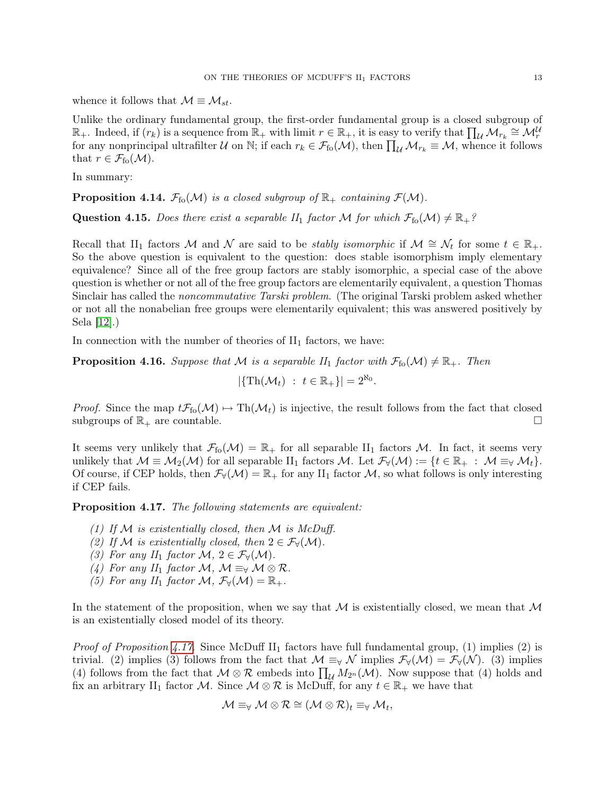whence it follows that  $\mathcal{M} \equiv \mathcal{M}_{st}$ .

Unlike the ordinary fundamental group, the first-order fundamental group is a closed subgroup of  $\mathbb{R}_+$ . Indeed, if  $(r_k)$  is a sequence from  $\mathbb{R}_+$  with limit  $r \in \mathbb{R}_+$ , it is easy to verify that  $\prod_{\mathcal{U}} \mathcal{M}_{r_k} \cong \mathcal{M}_r^{\mathcal{U}}$ for any nonprincipal ultrafilter U on N; if each  $r_k \in \mathcal{F}_{f_0}(\mathcal{M})$ , then  $\prod_{\mathcal{U}} \mathcal{M}_{r_k} \equiv \mathcal{M}$ , whence it follows that  $r \in \mathcal{F}_{\text{fo}}(\mathcal{M})$ .

In summary:

**Proposition 4.14.**  $\mathcal{F}_{\text{fo}}(\mathcal{M})$  is a closed subgroup of  $\mathbb{R}_+$  containing  $\mathcal{F}(\mathcal{M})$ .

**Question 4.15.** Does there exist a separable  $II_1$  factor M for which  $\mathcal{F}_{f_0}(\mathcal{M}) \neq \mathbb{R}_+$ ?

Recall that II<sub>1</sub> factors M and N are said to be *stably isomorphic* if  $M \cong \mathcal{N}_t$  for some  $t \in \mathbb{R}_+$ . So the above question is equivalent to the question: does stable isomorphism imply elementary equivalence? Since all of the free group factors are stably isomorphic, a special case of the above question is whether or not all of the free group factors are elementarily equivalent, a question Thomas Sinclair has called the noncommutative Tarski problem. (The original Tarski problem asked whether or not all the nonabelian free groups were elementarily equivalent; this was answered positively by Sela [\[12\]](#page-13-13).)

In connection with the number of theories of  $II_1$  factors, we have:

**Proposition 4.16.** Suppose that M is a separable  $II_1$  factor with  $\mathcal{F}_{f_0}(\mathcal{M}) \neq \mathbb{R}_+$ . Then

$$
|\{\operatorname{Th}(\mathcal{M}_t) \ : \ t \in \mathbb{R}_+\}| = 2^{\aleph_0}.
$$

*Proof.* Since the map  $t\mathcal{F}_{f_0}(\mathcal{M}) \to Th(\mathcal{M}_t)$  is injective, the result follows from the fact that closed subgroups of  $\mathbb{R}_+$  are countable.

It seems very unlikely that  $\mathcal{F}_{f_0}(\mathcal{M}) = \mathbb{R}_+$  for all separable II<sub>1</sub> factors  $\mathcal{M}$ . In fact, it seems very unlikely that  $M \equiv M_2(\mathcal{M})$  for all separable  $II_1$  factors M. Let  $\mathcal{F}_{\forall}(\mathcal{M}) := \{t \in \mathbb{R}_+ : \mathcal{M} \equiv \forall M_t\}.$ Of course, if CEP holds, then  $\mathcal{F}_{\forall}(\mathcal{M}) = \mathbb{R}_+$  for any  $\text{II}_1$  factor  $\mathcal{M}$ , so what follows is only interesting if CEP fails.

<span id="page-12-0"></span>Proposition 4.17. The following statements are equivalent:

- (1) If  $M$  is existentially closed, then  $M$  is McDuff.
- (2) If M is existentially closed, then  $2 \in \mathcal{F}_{\forall}(\mathcal{M})$ .
- (3) For any  $II_1$  factor  $\mathcal{M}, 2 \in \mathcal{F}_{\forall}(\mathcal{M})$ .
- (4) For any  $II_1$  factor  $\mathcal{M}, \mathcal{M} \equiv_{\forall} \mathcal{M} \otimes \mathcal{R}$ .
- (5) For any  $II_1$  factor  $\mathcal{M}, \mathcal{F}_{\forall}(\mathcal{M}) = \mathbb{R}_+$ .

In the statement of the proposition, when we say that  $M$  is existentially closed, we mean that  $M$ is an existentially closed model of its theory.

*Proof of Proposition [4.17.](#page-12-0)* Since McDuff  $II_1$  factors have full fundamental group, (1) implies (2) is trivial. (2) implies (3) follows from the fact that  $\mathcal{M} \equiv_{\forall} \mathcal{N}$  implies  $\mathcal{F}_{\forall}(\mathcal{M}) = \mathcal{F}_{\forall}(\mathcal{N})$ . (3) implies (4) follows from the fact that  $M \otimes \mathcal{R}$  embeds into  $\prod_{\mathcal{U}} M_{2^n}(\mathcal{M})$ . Now suppose that (4) holds and fix an arbitrary II<sub>1</sub> factor M. Since  $M \otimes \mathcal{R}$  is McDuff, for any  $t \in \mathbb{R}_+$  we have that

$$
\mathcal{M} \equiv_{\forall} \mathcal{M} \otimes \mathcal{R} \cong (\mathcal{M} \otimes \mathcal{R})_t \equiv_{\forall} \mathcal{M}_t,
$$